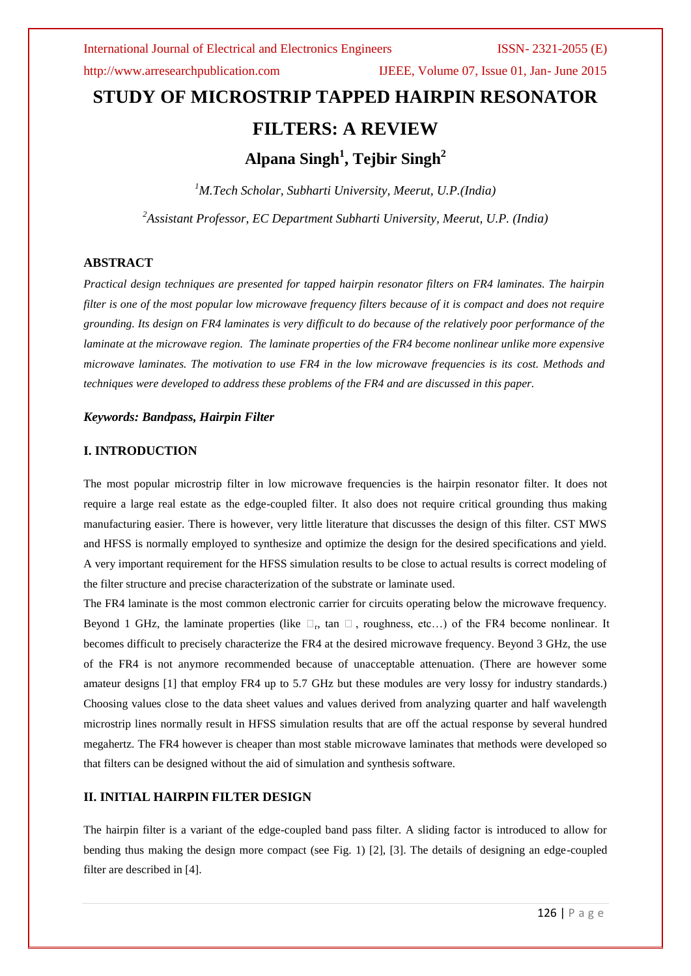http://www.arresearchpublication.com IJEEE, Volume 07, Issue 01, Jan- June 2015

# **STUDY OF MICROSTRIP TAPPED HAIRPIN RESONATOR FILTERS: A REVIEW Alpana Singh<sup>1</sup> , Tejbir Singh<sup>2</sup>**

*<sup>1</sup>M.Tech Scholar, Subharti University, Meerut, U.P.(India) <sup>2</sup>Assistant Professor, EC Department Subharti University, Meerut, U.P. (India)*

### **ABSTRACT**

*Practical design techniques are presented for tapped hairpin resonator filters on FR4 laminates. The hairpin filter is one of the most popular low microwave frequency filters because of it is compact and does not require grounding. Its design on FR4 laminates is very difficult to do because of the relatively poor performance of the laminate at the microwave region. The laminate properties of the FR4 become nonlinear unlike more expensive microwave laminates. The motivation to use FR4 in the low microwave frequencies is its cost. Methods and techniques were developed to address these problems of the FR4 and are discussed in this paper.*

### *Keywords: Bandpass, Hairpin Filter*

### **I. INTRODUCTION**

The most popular microstrip filter in low microwave frequencies is the hairpin resonator filter. It does not require a large real estate as the edge-coupled filter. It also does not require critical grounding thus making manufacturing easier. There is however, very little literature that discusses the design of this filter. CST MWS and HFSS is normally employed to synthesize and optimize the design for the desired specifications and yield. A very important requirement for the HFSS simulation results to be close to actual results is correct modeling of the filter structure and precise characterization of the substrate or laminate used.

The FR4 laminate is the most common electronic carrier for circuits operating below the microwave frequency. Beyond 1 GHz, the laminate properties (like  $\Box_r$ , tan  $\Box$ , roughness, etc...) of the FR4 become nonlinear. It becomes difficult to precisely characterize the FR4 at the desired microwave frequency. Beyond 3 GHz, the use of the FR4 is not anymore recommended because of unacceptable attenuation. (There are however some amateur designs [1] that employ FR4 up to 5.7 GHz but these modules are very lossy for industry standards.) Choosing values close to the data sheet values and values derived from analyzing quarter and half wavelength microstrip lines normally result in HFSS simulation results that are off the actual response by several hundred megahertz. The FR4 however is cheaper than most stable microwave laminates that methods were developed so that filters can be designed without the aid of simulation and synthesis software.

### **II. INITIAL HAIRPIN FILTER DESIGN**

The hairpin filter is a variant of the edge-coupled band pass filter. A sliding factor is introduced to allow for bending thus making the design more compact (see Fig. 1) [2], [3]. The details of designing an edge-coupled filter are described in [4].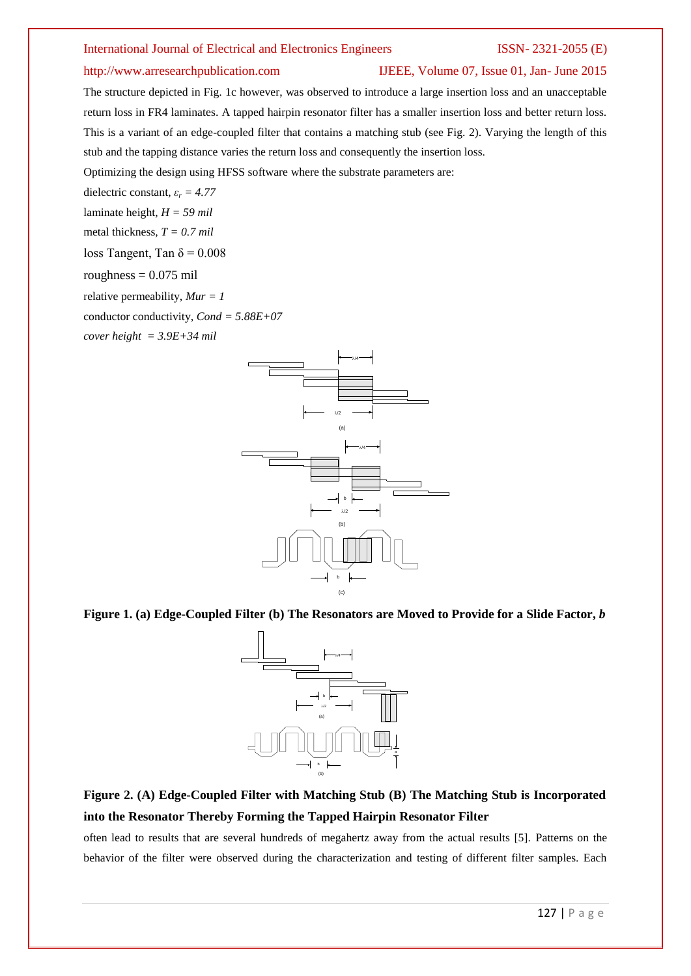### http://www.arresearchpublication.com IJEEE, Volume 07, Issue 01, Jan- June 2015

The structure depicted in Fig. 1c however, was observed to introduce a large insertion loss and an unacceptable return loss in FR4 laminates. A tapped hairpin resonator filter has a smaller insertion loss and better return loss. This is a variant of an edge-coupled filter that contains a matching stub (see Fig. 2). Varying the length of this stub and the tapping distance varies the return loss and consequently the insertion loss.

Optimizing the design using HFSS software where the substrate parameters are:

dielectric constant,  $\varepsilon_r = 4.77$ 

laminate height, *H = 59 mil*

metal thickness, *T = 0.7 mil*

loss Tangent, Tan  $\delta$  = 0.008

roughness  $= 0.075$  mil

relative permeability, *Mur = 1*

conductor conductivity, *Cond = 5.88E+07*

*cover height = 3.9E+34 mil*



**Figure 1. (a) Edge-Coupled Filter (b) The Resonators are Moved to Provide for a Slide Factor,** *b*



## **Figure 2. (A) Edge-Coupled Filter with Matching Stub (B) The Matching Stub is Incorporated into the Resonator Thereby Forming the Tapped Hairpin Resonator Filter**

often lead to results that are several hundreds of megahertz away from the actual results [5]. Patterns on the behavior of the filter were observed during the characterization and testing of different filter samples. Each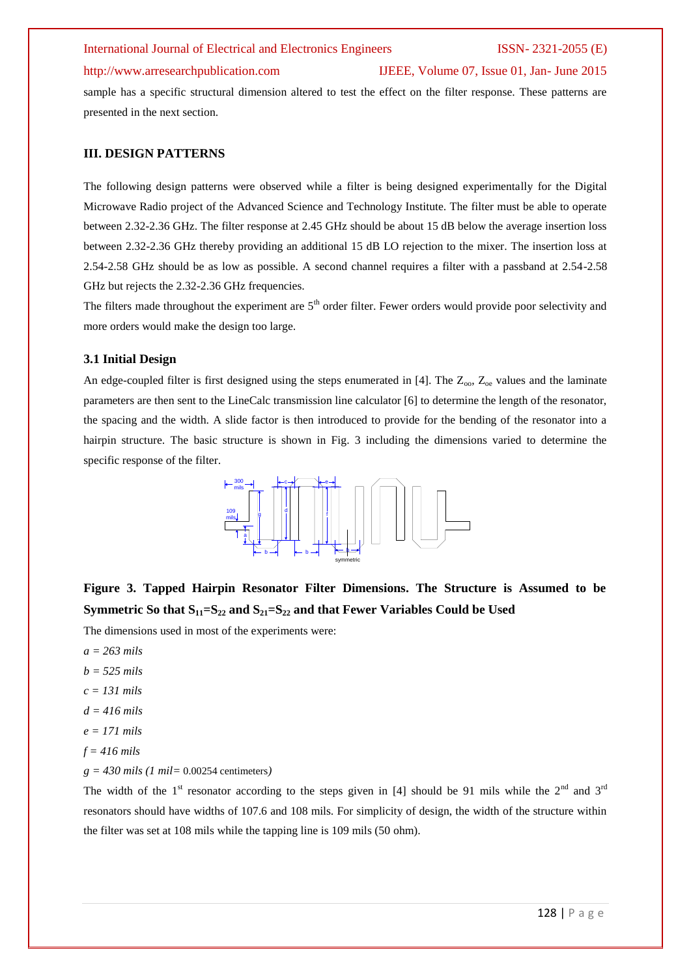### http://www.arresearchpublication.com IJEEE, Volume 07, Issue 01, Jan- June 2015

sample has a specific structural dimension altered to test the effect on the filter response. These patterns are presented in the next section.

### **III. DESIGN PATTERNS**

The following design patterns were observed while a filter is being designed experimentally for the Digital Microwave Radio project of the Advanced Science and Technology Institute. The filter must be able to operate between 2.32-2.36 GHz. The filter response at 2.45 GHz should be about 15 dB below the average insertion loss between 2.32-2.36 GHz thereby providing an additional 15 dB LO rejection to the mixer. The insertion loss at 2.54-2.58 GHz should be as low as possible. A second channel requires a filter with a passband at 2.54-2.58 GHz but rejects the 2.32-2.36 GHz frequencies.

The filters made throughout the experiment are  $5<sup>th</sup>$  order filter. Fewer orders would provide poor selectivity and more orders would make the design too large.

### **3.1 Initial Design**

An edge-coupled filter is first designed using the steps enumerated in [4]. The  $Z_{\text{oo}}$ ,  $Z_{\text{oe}}$  values and the laminate parameters are then sent to the LineCalc transmission line calculator [6] to determine the length of the resonator, the spacing and the width. A slide factor is then introduced to provide for the bending of the resonator into a hairpin structure. The basic structure is shown in Fig. 3 including the dimensions varied to determine the specific response of the filter.



# **Figure 3. Tapped Hairpin Resonator Filter Dimensions. The Structure is Assumed to be Symmetric So that S11=S<sup>22</sup> and S21=S<sup>22</sup> and that Fewer Variables Could be Used**

The dimensions used in most of the experiments were:

- *a = 263 mils*
- *b = 525 mils*
- *c = 131 mils*
- *d = 416 mils*
- *e = 171 mils*
- *f = 416 mils*
- *g = 430 mils (1 mil=* 0.00254 centimeters*)*

The width of the 1<sup>st</sup> resonator according to the steps given in [4] should be 91 mils while the 2<sup>nd</sup> and 3<sup>rd</sup> resonators should have widths of 107.6 and 108 mils. For simplicity of design, the width of the structure within the filter was set at 108 mils while the tapping line is 109 mils (50 ohm).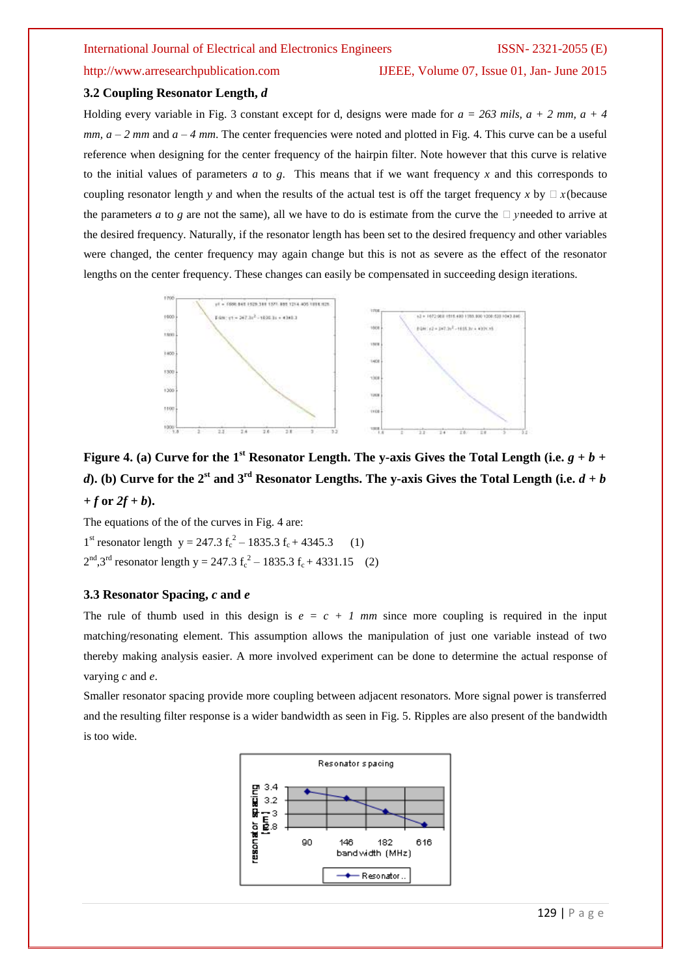http://www.arresearchpublication.com IJEEE, Volume 07, Issue 01, Jan- June 2015

### **3.2 Coupling Resonator Length,** *d*

Holding every variable in Fig. 3 constant except for d, designs were made for  $a = 263$  mils,  $a + 2$  mm,  $a + 4$ *mm,*  $a - 2$  *mm and*  $a - 4$  *mm.* The center frequencies were noted and plotted in Fig. 4. This curve can be a useful reference when designing for the center frequency of the hairpin filter. Note however that this curve is relative to the initial values of parameters *a* to *g*. This means that if we want frequency *x* and this corresponds to coupling resonator length *y* and when the results of the actual test is off the target frequency *x* by  $\Box x$  (because the parameters *a* to *g* are not the same), all we have to do is estimate from the curve the  $\Box$  yneeded to arrive at the desired frequency. Naturally, if the resonator length has been set to the desired frequency and other variables were changed, the center frequency may again change but this is not as severe as the effect of the resonator lengths on the center frequency. These changes can easily be compensated in succeeding design iterations.



**Figure 4.** (a) Curve for the 1<sup>st</sup> Resonator Length. The y-axis Gives the Total Length (i.e.  $g + b +$ *d***).** (b) Curve for the 2<sup>st</sup> and 3<sup>rd</sup> Resonator Lengths. The y-axis Gives the Total Length (i.e.  $d + b$  $+f$  or  $2f + b$ ).

The equations of the of the curves in Fig. 4 are:

1<sup>st</sup> resonator length  $y = 247.3 f_c^2 - 1835.3 f_c + 4345.3$  (1)  $2<sup>nd</sup>$ ,3<sup>rd</sup> resonator length y = 247.3 f<sub>c</sub><sup>2</sup> – 1835.3 f<sub>c</sub> + 4331.15 (2)

### **3.3 Resonator Spacing,** *c* **and** *e*

The rule of thumb used in this design is  $e = c + 1$  mm since more coupling is required in the input matching/resonating element. This assumption allows the manipulation of just one variable instead of two thereby making analysis easier. A more involved experiment can be done to determine the actual response of varying *c* and *e*.

Smaller resonator spacing provide more coupling between adjacent resonators. More signal power is transferred and the resulting filter response is a wider bandwidth as seen in Fig. 5. Ripples are also present of the bandwidth is too wide.

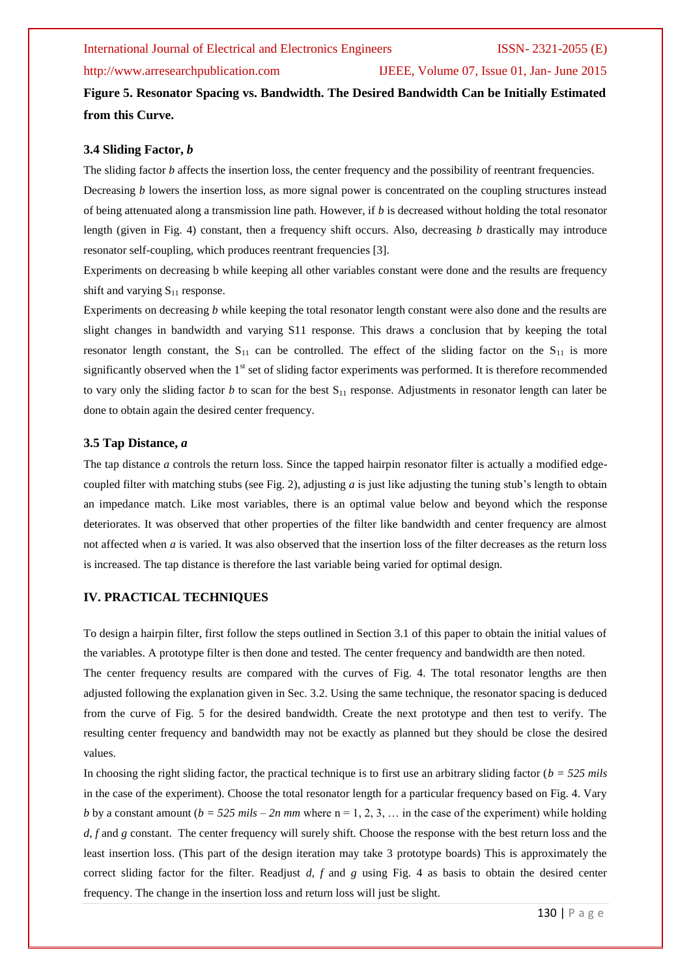### http://www.arresearchpublication.com IJEEE, Volume 07, Issue 01, Jan- June 2015

**Figure 5. Resonator Spacing vs. Bandwidth. The Desired Bandwidth Can be Initially Estimated from this Curve.**

### **3.4 Sliding Factor,** *b*

The sliding factor *b* affects the insertion loss, the center frequency and the possibility of reentrant frequencies. Decreasing *b* lowers the insertion loss, as more signal power is concentrated on the coupling structures instead of being attenuated along a transmission line path. However, if *b* is decreased without holding the total resonator length (given in Fig. 4) constant, then a frequency shift occurs. Also, decreasing *b* drastically may introduce resonator self-coupling, which produces reentrant frequencies [3].

Experiments on decreasing b while keeping all other variables constant were done and the results are frequency shift and varying  $S_{11}$  response.

Experiments on decreasing *b* while keeping the total resonator length constant were also done and the results are slight changes in bandwidth and varying S11 response. This draws a conclusion that by keeping the total resonator length constant, the  $S_{11}$  can be controlled. The effect of the sliding factor on the  $S_{11}$  is more significantly observed when the 1<sup>st</sup> set of sliding factor experiments was performed. It is therefore recommended to vary only the sliding factor *b* to scan for the best  $S_{11}$  response. Adjustments in resonator length can later be done to obtain again the desired center frequency.

### **3.5 Tap Distance,** *a*

The tap distance *a* controls the return loss. Since the tapped hairpin resonator filter is actually a modified edgecoupled filter with matching stubs (see Fig. 2), adjusting *a* is just like adjusting the tuning stub's length to obtain an impedance match. Like most variables, there is an optimal value below and beyond which the response deteriorates. It was observed that other properties of the filter like bandwidth and center frequency are almost not affected when *a* is varied. It was also observed that the insertion loss of the filter decreases as the return loss is increased. The tap distance is therefore the last variable being varied for optimal design.

### **IV. PRACTICAL TECHNIQUES**

To design a hairpin filter, first follow the steps outlined in Section 3.1 of this paper to obtain the initial values of the variables. A prototype filter is then done and tested. The center frequency and bandwidth are then noted.

The center frequency results are compared with the curves of Fig. 4. The total resonator lengths are then adjusted following the explanation given in Sec. 3.2. Using the same technique, the resonator spacing is deduced from the curve of Fig. 5 for the desired bandwidth. Create the next prototype and then test to verify. The resulting center frequency and bandwidth may not be exactly as planned but they should be close the desired values.

In choosing the right sliding factor, the practical technique is to first use an arbitrary sliding factor (*b = 525 mils* in the case of the experiment). Choose the total resonator length for a particular frequency based on Fig. 4. Vary *b* by a constant amount  $(b = 525$  mils  $- 2n$  mm where  $n = 1, 2, 3, ...$  in the case of the experiment) while holding *d*, *f* and *g* constant. The center frequency will surely shift. Choose the response with the best return loss and the least insertion loss. (This part of the design iteration may take 3 prototype boards) This is approximately the correct sliding factor for the filter. Readjust *d*, *f* and *g* using Fig. 4 as basis to obtain the desired center frequency. The change in the insertion loss and return loss will just be slight.